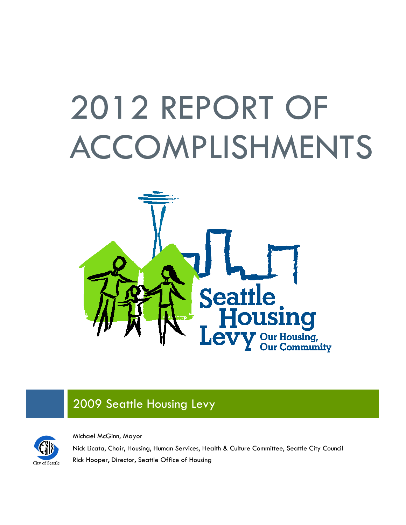# 2012 REPORT OF ACCOMPLISHMENTS



## 2009 Seattle Housing Levy



Michael McGinn, Mayor

Nick Licata, Chair, Housing, Human Services, Health & Culture Committee, Seattle City Council Rick Hooper, Director, Seattle Office of Housing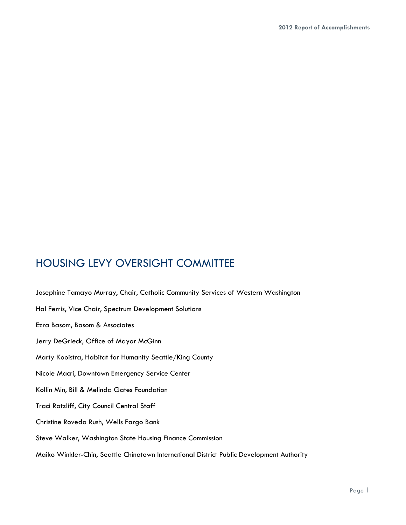## HOUSING LEVY OVERSIGHT COMMITTEE

Josephine Tamayo Murray, Chair, Catholic Community Services of Western Washington Hal Ferris, Vice Chair, Spectrum Development Solutions Ezra Basom, Basom & Associates Jerry DeGrieck, Office of Mayor McGinn Marty Kooistra, Habitat for Humanity Seattle/King County Nicole Macri, Downtown Emergency Service Center Kollin Min, Bill & Melinda Gates Foundation Traci Ratzliff, City Council Central Staff Christine Roveda Rush, Wells Fargo Bank Steve Walker, Washington State Housing Finance Commission Maiko Winkler-Chin, Seattle Chinatown International District Public Development Authority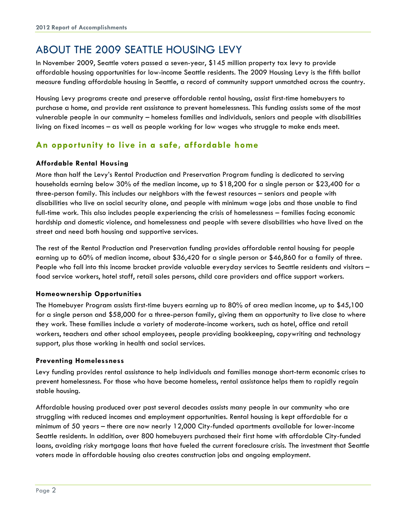## ABOUT THE 2009 SEATTLE HOUSING LEVY

In November 2009, Seattle voters passed a seven-year, \$145 million property tax levy to provide affordable housing opportunities for low-income Seattle residents. The 2009 Housing Levy is the fifth ballot measure funding affordable housing in Seattle, a record of community support unmatched across the country.

Housing Levy programs create and preserve affordable rental housing, assist first-time homebuyers to purchase a home, and provide rent assistance to prevent homelessness. This funding assists some of the most vulnerable people in our community – homeless families and individuals, seniors and people with disabilities living on fixed incomes – as well as people working for low wages who struggle to make ends meet.

#### **An opportunity to live in a safe, affordable home**

#### **Affordable Rental Housing**

More than half the Levy's Rental Production and Preservation Program funding is dedicated to serving households earning below 30% of the median income, up to \$18,200 for a single person or \$23,400 for a three-person family. This includes our neighbors with the fewest resources – seniors and people with disabilities who live on social security alone, and people with minimum wage jobs and those unable to find full-time work. This also includes people experiencing the crisis of homelessness – families facing economic hardship and domestic violence, and homelessness and people with severe disabilities who have lived on the street and need both housing and supportive services.

The rest of the Rental Production and Preservation funding provides affordable rental housing for people earning up to 60% of median income, about \$36,420 for a single person or \$46,860 for a family of three. People who fall into this income bracket provide valuable everyday services to Seattle residents and visitors – food service workers, hotel staff, retail sales persons, child care providers and office support workers.

#### **Homeownership Opportunities**

The Homebuyer Program assists first-time buyers earning up to 80% of area median income, up to \$45,100 for a single person and \$58,000 for a three-person family, giving them an opportunity to live close to where they work. These families include a variety of moderate-income workers, such as hotel, office and retail workers, teachers and other school employees, people providing bookkeeping, copywriting and technology support, plus those working in health and social services.

#### **Preventing Homelessness**

Levy funding provides rental assistance to help individuals and families manage short-term economic crises to prevent homelessness. For those who have become homeless, rental assistance helps them to rapidly regain stable housing.

Affordable housing produced over past several decades assists many people in our community who are struggling with reduced incomes and employment opportunities. Rental housing is kept affordable for a minimum of 50 years – there are now nearly 12,000 City-funded apartments available for lower-income Seattle residents. In addition, over 800 homebuyers purchased their first home with affordable City-funded loans, avoiding risky mortgage loans that have fueled the current foreclosure crisis. The investment that Seattle voters made in affordable housing also creates construction jobs and ongoing employment.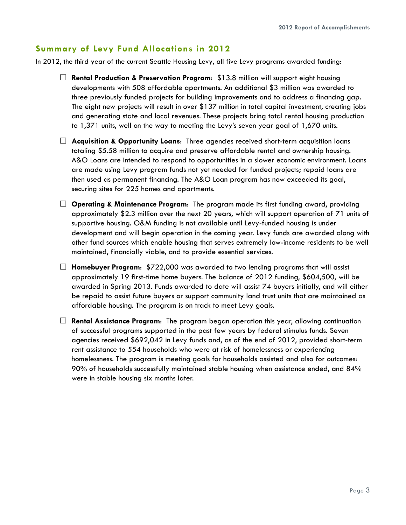#### **Summary of Levy Fund Allocations in 2012**

In 2012, the third year of the current Seattle Housing Levy, all five Levy programs awarded funding:

- **Rental Production & Preservation Program**: \$13.8 million will support eight housing developments with 508 affordable apartments. An additional \$3 million was awarded to three previously funded projects for building improvements and to address a financing gap. The eight new projects will result in over \$137 million in total capital investment, creating jobs and generating state and local revenues. These projects bring total rental housing production to 1,371 units, well on the way to meeting the Levy's seven year goal of 1,670 units.
- **Acquisition & Opportunity Loans**: Three agencies received short-term acquisition loans totaling \$5.58 million to acquire and preserve affordable rental and ownership housing. A&O Loans are intended to respond to opportunities in a slower economic environment. Loans are made using Levy program funds not yet needed for funded projects; repaid loans are then used as permanent financing. The A&O Loan program has now exceeded its goal, securing sites for 225 homes and apartments.
- **Operating & Maintenance Program**: The program made its first funding award, providing approximately \$2.3 million over the next 20 years, which will support operation of 71 units of supportive housing. O&M funding is not available until Levy-funded housing is under development and will begin operation in the coming year. Levy funds are awarded along with other fund sources which enable housing that serves extremely low-income residents to be well maintained, financially viable, and to provide essential services.
- **Homebuyer Program**: \$722,000 was awarded to two lending programs that will assist approximately 19 first-time home buyers. The balance of 2012 funding, \$604,500, will be awarded in Spring 2013. Funds awarded to date will assist 74 buyers initially, and will either be repaid to assist future buyers or support community land trust units that are maintained as affordable housing. The program is on track to meet Levy goals.
- **Rental Assistance Program**: The program began operation this year, allowing continuation of successful programs supported in the past few years by federal stimulus funds. Seven agencies received \$692,042 in Levy funds and, as of the end of 2012, provided short-term rent assistance to 554 households who were at risk of homelessness or experiencing homelessness. The program is meeting goals for households assisted and also for outcomes: 90% of households successfully maintained stable housing when assistance ended, and 84% were in stable housing six months later.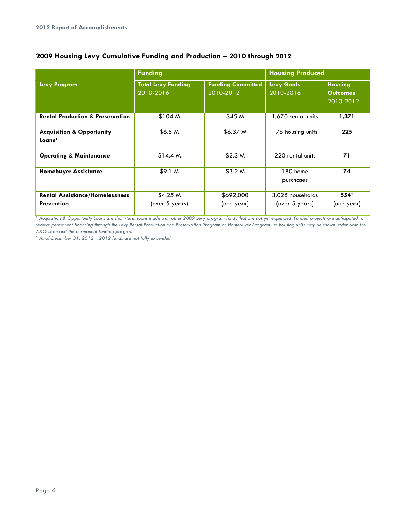|                                                            | <b>Funding</b>                         |                                       | <b>Housing Produced</b>            |                                                |
|------------------------------------------------------------|----------------------------------------|---------------------------------------|------------------------------------|------------------------------------------------|
| <b>Levy Program</b>                                        | <b>Total Levy Funding</b><br>2010-2016 | <b>Funding Committed</b><br>2010-2012 | <b>Levy Goals</b><br>2010-2016     | <b>Housing</b><br><b>Outcomes</b><br>2010-2012 |
| <b>Rental Production &amp; Preservation</b>                | \$104 M                                | \$45 M                                | 1,670 rental units                 | 1,371                                          |
| <b>Acquisition &amp; Opportunity</b><br>Loans <sup>1</sup> | \$6.5 <sub>M</sub>                     | \$6.37 <sub>M</sub>                   | 175 housing units                  | 225                                            |
| <b>Operating &amp; Maintenance</b>                         | \$14.4 M                               | \$2.3 <sub>M</sub>                    | 220 rental units                   | 71                                             |
| <b>Homebuyer Assistance</b>                                | \$9.1 <sub>M</sub>                     | \$3.2 <sub>M</sub>                    | 180 home<br>purchases              | 74                                             |
| <b>Rental Assistance/Homelessness</b><br><b>Prevention</b> | \$4.25 M<br>(over 5 years)             | \$692,000<br>(one year)               | 3,025 households<br>(over 5 years) | $554^2$<br>(one year)                          |

#### **2009 Housing Levy Cumulative Funding and Production – 2010 through 2012**

*<sup>1</sup> Acquisition & Opportunity Loans are short-term loans made with other 2009 Levy program funds that are not yet expended. Funded projects are anticipated to*  receive permanent financing through the Levy Rental Production and Preservation Program or Homebuyer Program, so housing units may be shown under both the *A&O Loan and the permanent funding program.*

*<sup>2</sup> As of December 31, 2012. 2012 funds are not fully expended.*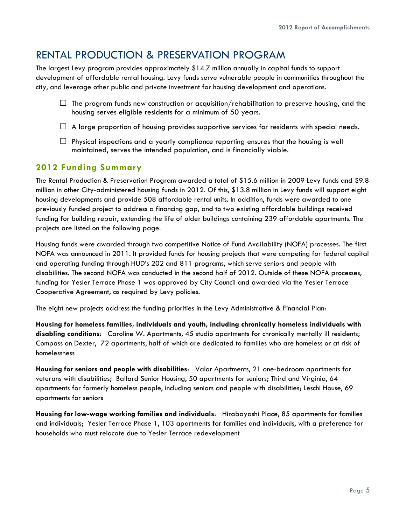## RENTAL PRODUCTION & PRESERVATION PROGRAM

The largest Levy program provides approximately \$14.7 million annually in capital funds to support development of affordable rental housing. Levy funds serve vulnerable people in communities throughout the city, and leverage other public and private investment for housing development and operations.

- $\Box$  The program funds new construction or acquisition/rehabilitation to preserve housing, and the housing serves eligible residents for a minimum of 50 years.
- $\Box$  A large proportion of housing provides supportive services for residents with special needs.
- $\Box$  Physical inspections and a yearly compliance reporting ensures that the housing is well maintained, serves the intended population, and is financially viable.

#### **2012 Funding Summary**

The Rental Production & Preservation Program awarded a total of \$15.6 million in 2009 Levy funds and \$9.8 million in other City-administered housing funds in 2012. Of this, \$13.8 million in Levy funds will support eight housing developments and provide 508 affordable rental units. In addition, funds were awarded to one previously funded project to address a financing gap, and to two existing affordable buildings received funding for building repair, extending the life of older buildings containing 239 affordable apartments. The projects are listed on the following page.

Housing funds were awarded through two competitive Notice of Fund Availability (NOFA) processes. The first NOFA was announced in 2011. It provided funds for housing projects that were competing for federal capital and operating funding through HUD's 202 and 811 programs, which serve seniors and people with disabilities. The second NOFA was conducted in the second half of 2012. Outside of these NOFA processes, funding for Yesler Terrace Phase 1 was approved by City Council and awarded via the Yesler Terrace Cooperative Agreement, as required by Levy policies.

The eight new projects address the funding priorities in the Levy Administrative & Financial Plan:

**Housing for homeless families, individuals and youth, including chronically homeless individuals with disabling conditions**: Caroline W. Apartments, 45 studio apartments for chronically mentally ill residents; Compass on Dexter, 72 apartments, half of which are dedicated to families who are homeless or at risk of homelessness

**Housing for seniors and people with disabilities**: Valor Apartments, 21 one-bedroom apartments for veterans with disabilities; Ballard Senior Housing, 50 apartments for seniors; Third and Virginia, 64 apartments for formerly homeless people, including seniors and people with disabilities; Leschi House, 69 apartments for seniors

**Housing for low-wage working families and individuals**: Hirabayashi Place, 85 apartments for families and individuals; Yesler Terrace Phase 1, 103 apartments for families and individuals, with a preference for households who must relocate due to Yesler Terrace redevelopment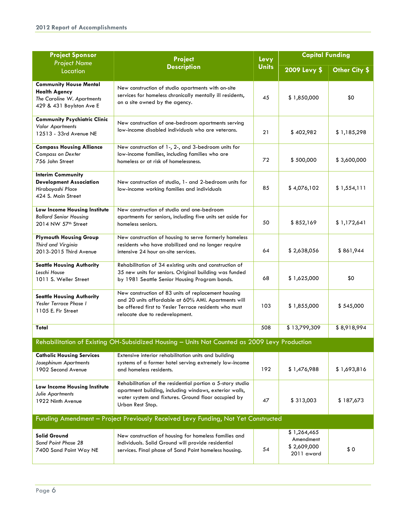| <b>Project Sponsor</b><br><b>Project Name</b>                                                                   | <b>Project</b>                                                                                                                                                                                        | Levy<br><b>Units</b> | <b>Capital Funding</b>                                |               |
|-----------------------------------------------------------------------------------------------------------------|-------------------------------------------------------------------------------------------------------------------------------------------------------------------------------------------------------|----------------------|-------------------------------------------------------|---------------|
| Location                                                                                                        | <b>Description</b>                                                                                                                                                                                    |                      | 2009 Levy \$                                          | Other City \$ |
| <b>Community House Mental</b><br><b>Health Agency</b><br>The Caroline W. Apartments<br>429 & 431 Boylston Ave E | New construction of studio apartments with on-site<br>services for homeless chronically mentally ill residents,<br>on a site owned by the agency.                                                     | 45                   | \$1,850,000                                           | \$0           |
| <b>Community Psychiatric Clinic</b><br><b>Valor Apartments</b><br>12513 - 33rd Avenue NE                        | New construction of one-bedroom apartments serving<br>low-income disabled individuals who are veterans.                                                                                               | 21                   | \$402,982                                             | \$1,185,298   |
| <b>Compass Housing Alliance</b><br><b>Compass on Dexter</b><br>756 John Street                                  | New construction of 1-, 2-, and 3-bedroom units for<br>low-income families, including families who are<br>homeless or at risk of homelessness.                                                        | 72                   | \$500,000                                             | \$3,600,000   |
| <b>Interim Community</b><br><b>Development Association</b><br>Hirabayashi Place<br>424 S. Main Street           | New construction of studio, 1- and 2-bedroom units for<br>low-income working families and individuals                                                                                                 | 85                   | \$4,076,102                                           | \$1,554,111   |
| Low Income Housing Institute<br><b>Ballard Senior Housing</b><br>2014 NW 57 <sup>th</sup> Street                | New construction of studio and one-bedroom<br>apartments for seniors, including five units set aside for<br>homeless seniors.                                                                         | 50                   | \$852,169                                             | \$1,172,641   |
| <b>Plymouth Housing Group</b><br>Third and Virginia<br>2013-2015 Third Avenue                                   | New construction of housing to serve formerly homeless<br>residents who have stabilized and no longer require<br>intensive 24 hour on-site services.                                                  | 64                   | \$2,638,056                                           | \$861,944     |
| <b>Seattle Housing Authority</b><br>Leschi House<br>1011 S. Weller Street                                       | Rehabilitation of 34 existing units and construction of<br>35 new units for seniors. Original building was funded<br>by 1981 Seattle Senior Housing Program bonds.                                    | 68                   | \$1,625,000                                           | \$0           |
| <b>Seattle Housing Authority</b><br><b>Yesler Terrace Phase I</b><br>1105 E. Fir Street                         | New construction of 83 units of replacement housing<br>and 20 units affordable at 60% AMI. Apartments will<br>be offered first to Yesler Terrace residents who must<br>relocate due to redevelopment. | 103                  | \$1,855,000                                           | \$545,000     |
| Total                                                                                                           |                                                                                                                                                                                                       | 508                  | \$13,799,309                                          | \$8,918,994   |
|                                                                                                                 | Rehabilitation of Existing OH-Subsidized Housing - Units Not Counted as 2009 Levy Production                                                                                                          |                      |                                                       |               |
| <b>Catholic Housing Services</b><br>Josephinum Apartments<br>1902 Second Avenue                                 | Extensive interior rehabilitation units and building<br>systems of a former hotel serving extremely low-income<br>and homeless residents.                                                             | 192                  | \$1,476,988                                           | \$1,693,816   |
| Low Income Housing Institute<br><b>Julie Apartments</b><br>1922 Ninth Avenue                                    | Rehabilitation of the residential portion a 5-story studio<br>apartment building, including windows, exterior walls,<br>water system and fixtures. Ground floor occupied by<br>Urban Rest Stop.       | 47                   | \$313,003                                             | \$187,673     |
|                                                                                                                 | Funding Amendment - Project Previously Received Levy Funding, Not Yet Constructed                                                                                                                     |                      |                                                       |               |
| <b>Solid Ground</b><br>Sand Point Phase 2B<br>7400 Sand Point Way NE                                            | New construction of housing for homeless families and<br>individuals. Solid Ground will provide residential<br>services. Final phase of Sand Point homeless housing.                                  | 54                   | \$1,264,465<br>Amendment<br>\$2,609,000<br>2011 award | \$0           |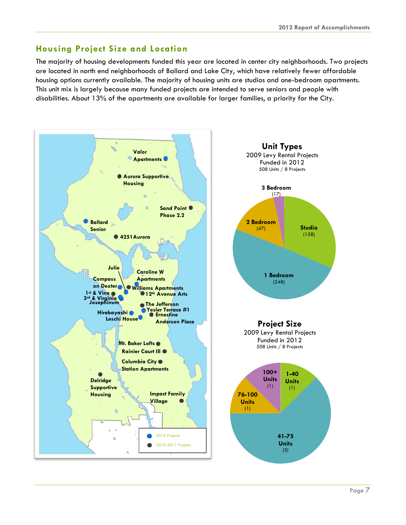#### **Housing Project Size and Location**

The majority of housing developments funded this year are located in center city neighborhoods. Two projects are located in north end neighborhoods of Ballard and Lake City, which have relatively fewer affordable housing options currently available. The majority of housing units are studios and one-bedroom apartments. This unit mix is largely because many funded projects are intended to serve seniors and people with disabilities. About 13% of the apartments are available for larger families, a priority for the City.

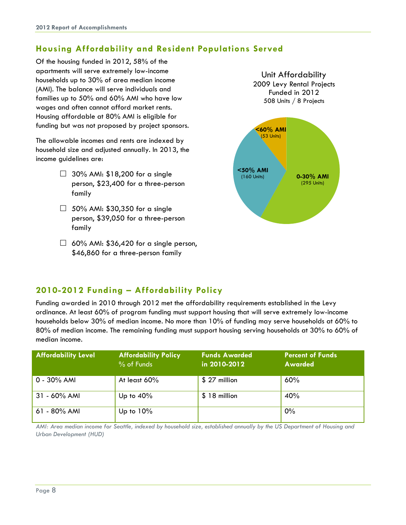### **Housing Affordability and Resident Populations Served**

Of the housing funded in 2012, 58% of the apartments will serve extremely low-income households up to 30% of area median income (AMI). The balance will serve individuals and families up to 50% and 60% AMI who have low wages and often cannot afford market rents. Housing affordable at 80% AMI is eligible for funding but was not proposed by project sponsors.

The allowable incomes and rents are indexed by household size and adjusted annually. In 2013, the income guidelines are:

- $\Box$  30% AMI: \$18,200 for a single person, \$23,400 for a three-person family
- $\Box$  50% AMI: \$30,350 for a single person, \$39,050 for a three-person family
- $\Box$  60% AMI: \$36,420 for a single person, \$46,860 for a three-person family



#### **2010-2012 Funding – Affordability Policy**

Funding awarded in 2010 through 2012 met the affordability requirements established in the Levy ordinance. At least 60% of program funding must support housing that will serve extremely low-income households below 30% of median income. No more than 10% of funding may serve households at 60% to 80% of median income. The remaining funding must support housing serving households at 30% to 60% of median income.

| <b>Affordability Level</b> | <b>Affordability Policy</b><br>% of Funds | <b>Funds Awarded</b><br>in 2010-2012 | <b>Percent of Funds</b><br><b>Awarded</b> |
|----------------------------|-------------------------------------------|--------------------------------------|-------------------------------------------|
| $0 - 30\%$ AMI             | At least $60\%$                           | $$27$ million                        | 60%                                       |
| $31 - 60\%$ AMI            | Up to $40\%$                              | $$18$ million                        | 40%                                       |
| 61 - 80% AMI               | Up to $10\%$                              |                                      | $0\%$                                     |

*AMI: Area median income for Seattle, indexed by household size, established annually by the US Department of Housing and Urban Development (HUD)*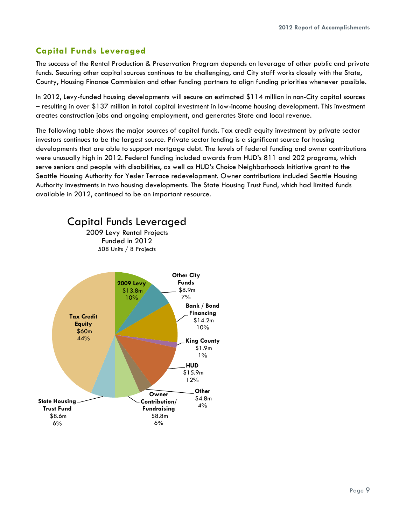#### **Capital Funds Leveraged**

The success of the Rental Production & Preservation Program depends on leverage of other public and private funds. Securing other capital sources continues to be challenging, and City staff works closely with the State, County, Housing Finance Commission and other funding partners to align funding priorities whenever possible.

In 2012, Levy-funded housing developments will secure an estimated \$114 million in non-City capital sources – resulting in over \$137 million in total capital investment in low-income housing development. This investment creates construction jobs and ongoing employment, and generates State and local revenue.

The following table shows the major sources of capital funds. Tax credit equity investment by private sector investors continues to be the largest source. Private sector lending is a significant source for housing developments that are able to support mortgage debt. The levels of federal funding and owner contributions were unusually high in 2012. Federal funding included awards from HUD's 811 and 202 programs, which serve seniors and people with disabilities, as well as HUD's Choice Neighborhoods Initiative grant to the Seattle Housing Authority for Yesler Terrace redevelopment. Owner contributions included Seattle Housing Authority investments in two housing developments. The State Housing Trust Fund, which had limited funds available in 2012, continued to be an important resource.

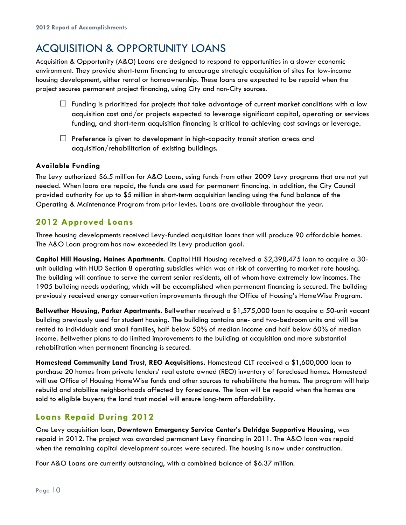## ACQUISITION & OPPORTUNITY LOANS

Acquisition & Opportunity (A&O) Loans are designed to respond to opportunities in a slower economic environment. They provide short-term financing to encourage strategic acquisition of sites for low-income housing development, either rental or homeownership. These loans are expected to be repaid when the project secures permanent project financing, using City and non-City sources.

- $\Box$  Funding is prioritized for projects that take advantage of current market conditions with a low acquisition cost and/or projects expected to leverage significant capital, operating or services funding, and short-term acquisition financing is critical to achieving cost savings or leverage.
- $\Box$  Preference is given to development in high-capacity transit station areas and acquisition/rehabilitation of existing buildings.

#### **Available Funding**

The Levy authorized \$6.5 million for A&O Loans, using funds from other 2009 Levy programs that are not yet needed. When loans are repaid, the funds are used for permanent financing. In addition, the City Council provided authority for up to \$5 million in short-term acquisition lending using the fund balance of the Operating & Maintenance Program from prior levies. Loans are available throughout the year.

#### **2012 Approved Loans**

Three housing developments received Levy-funded acquisition loans that will produce 90 affordable homes. The A&O Loan program has now exceeded its Levy production goal.

**Capitol Hill Housing, Haines Apartments**. Capitol Hill Housing received a \$2,398,475 loan to acquire a 30 unit building with HUD Section 8 operating subsidies which was at risk of converting to market rate housing. The building will continue to serve the current senior residents, all of whom have extremely low incomes. The 1905 building needs updating, which will be accomplished when permanent financing is secured. The building previously received energy conservation improvements through the Office of Housing's HomeWise Program.

**Bellwether Housing, Parker Apartments.** Bellwether received a \$1,575,000 loan to acquire a 50-unit vacant building previously used for student housing. The building contains one- and two-bedroom units and will be rented to individuals and small families, half below 50% of median income and half below 60% of median income. Bellwether plans to do limited improvements to the building at acquisition and more substantial rehabilitation when permanent financing is secured.

**Homestead Community Land Trust, REO Acquisitions.** Homestead CLT received a \$1,600,000 loan to purchase 20 homes from private lenders' real estate owned (REO) inventory of foreclosed homes. Homestead will use Office of Housing HomeWise funds and other sources to rehabilitate the homes. The program will help rebuild and stabilize neighborhoods affected by foreclosure. The loan will be repaid when the homes are sold to eligible buyers; the land trust model will ensure long-term affordability.

#### **Loans Repaid During 2012**

One Levy acquisition loan, **Downtown Emergency Service Center's Delridge Supportive Housing,** was repaid in 2012. The project was awarded permanent Levy financing in 2011. The A&O loan was repaid when the remaining capital development sources were secured. The housing is now under construction.

Four A&O Loans are currently outstanding, with a combined balance of \$6.37 million.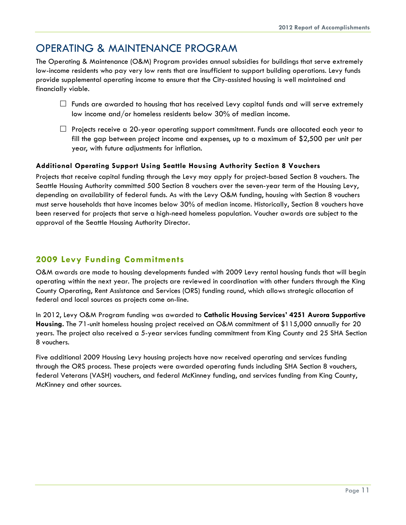## OPERATING & MAINTENANCE PROGRAM

The Operating & Maintenance (O&M) Program provides annual subsidies for buildings that serve extremely low-income residents who pay very low rents that are insufficient to support building operations. Levy funds provide supplemental operating income to ensure that the City-assisted housing is well maintained and financially viable.

- $\Box$  Funds are awarded to housing that has received Levy capital funds and will serve extremely low income and/or homeless residents below 30% of median income.
- $\Box$  Projects receive a 20-year operating support commitment. Funds are allocated each year to fill the gap between project income and expenses, up to a maximum of \$2,500 per unit per year, with future adjustments for inflation.

#### **Additional Operating Support Using Seattle Housing Authority Section 8 Vouchers**

Projects that receive capital funding through the Levy may apply for project-based Section 8 vouchers. The Seattle Housing Authority committed 500 Section 8 vouchers over the seven-year term of the Housing Levy, depending on availability of federal funds. As with the Levy O&M funding, housing with Section 8 vouchers must serve households that have incomes below 30% of median income. Historically, Section 8 vouchers have been reserved for projects that serve a high-need homeless population. Voucher awards are subject to the approval of the Seattle Housing Authority Director.

#### **2009 Levy Funding Commitments**

O&M awards are made to housing developments funded with 2009 Levy rental housing funds that will begin operating within the next year. The projects are reviewed in coordination with other funders through the King County Operating, Rent Assistance and Services (ORS) funding round, which allows strategic allocation of federal and local sources as projects come on-line.

In 2012, Levy O&M Program funding was awarded to **Catholic Housing Services' 4251 Aurora Supportive Housing.** The 71-unit homeless housing project received an O&M commitment of \$115,000 annually for 20 years. The project also received a 5-year services funding commitment from King County and 25 SHA Section 8 vouchers.

Five additional 2009 Housing Levy housing projects have now received operating and services funding through the ORS process. These projects were awarded operating funds including SHA Section 8 vouchers, federal Veterans (VASH) vouchers, and federal McKinney funding, and services funding from King County, McKinney and other sources.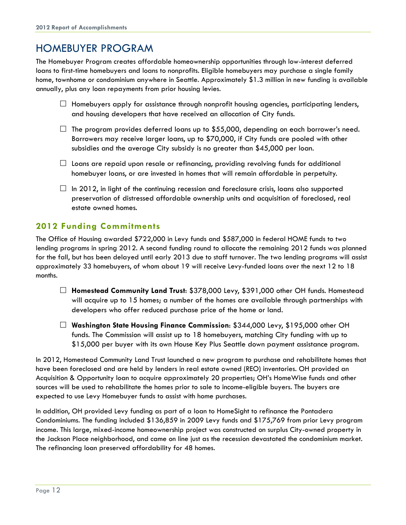## HOMEBUYER PROGRAM

The Homebuyer Program creates affordable homeownership opportunities through low-interest deferred loans to first-time homebuyers and loans to nonprofits. Eligible homebuyers may purchase a single family home, townhome or condominium anywhere in Seattle. Approximately \$1.3 million in new funding is available annually, plus any loan repayments from prior housing levies.

- $\Box$  Homebuyers apply for assistance through nonprofit housing agencies, participating lenders, and housing developers that have received an allocation of City funds.
- $\Box$  The program provides deferred loans up to \$55,000, depending on each borrower's need. Borrowers may receive larger loans, up to \$70,000, if City funds are pooled with other subsidies and the average City subsidy is no greater than \$45,000 per loan.
- $\Box$  Loans are repaid upon resale or refinancing, providing revolving funds for additional homebuyer loans, or are invested in homes that will remain affordable in perpetuity.
- $\Box$  In 2012, in light of the continuing recession and foreclosure crisis, loans also supported preservation of distressed affordable ownership units and acquisition of foreclosed, real estate owned homes.

#### **2012 Funding Commitments**

The Office of Housing awarded \$722,000 in Levy funds and \$587,000 in federal HOME funds to two lending programs in spring 2012. A second funding round to allocate the remaining 2012 funds was planned for the fall, but has been delayed until early 2013 due to staff turnover. The two lending programs will assist approximately 33 homebuyers, of whom about 19 will receive Levy-funded loans over the next 12 to 18 months.

- **Homestead Community Land Trust**: \$378,000 Levy, \$391,000 other OH funds. Homestead will acquire up to 15 homes; a number of the homes are available through partnerships with developers who offer reduced purchase price of the home or land.
- **Washington State Housing Finance Commission**: \$344,000 Levy, \$195,000 other OH funds. The Commission will assist up to 18 homebuyers, matching City funding with up to \$15,000 per buyer with its own House Key Plus Seattle down payment assistance program.

In 2012, Homestead Community Land Trust launched a new program to purchase and rehabilitate homes that have been foreclosed and are held by lenders in real estate owned (REO) inventories. OH provided an Acquisition & Opportunity loan to acquire approximately 20 properties; OH's HomeWise funds and other sources will be used to rehabilitate the homes prior to sale to income-eligible buyers. The buyers are expected to use Levy Homebuyer funds to assist with home purchases.

In addition, OH provided Levy funding as part of a loan to HomeSight to refinance the Pontadera Condominiums. The funding included \$136,859 in 2009 Levy funds and \$175,769 from prior Levy program income. This large, mixed-income homeownership project was constructed on surplus City-owned property in the Jackson Place neighborhood, and came on line just as the recession devastated the condominium market. The refinancing loan preserved affordability for 48 homes.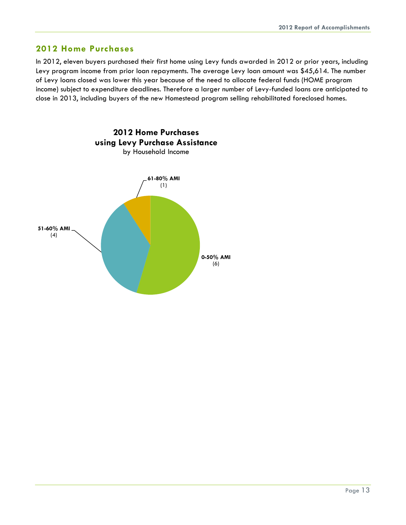#### **2012 Home Purchases**

In 2012, eleven buyers purchased their first home using Levy funds awarded in 2012 or prior years, including Levy program income from prior loan repayments. The average Levy loan amount was \$45,614. The number of Levy loans closed was lower this year because of the need to allocate federal funds (HOME program income) subject to expenditure deadlines. Therefore a larger number of Levy-funded loans are anticipated to close in 2013, including buyers of the new Homestead program selling rehabilitated foreclosed homes.

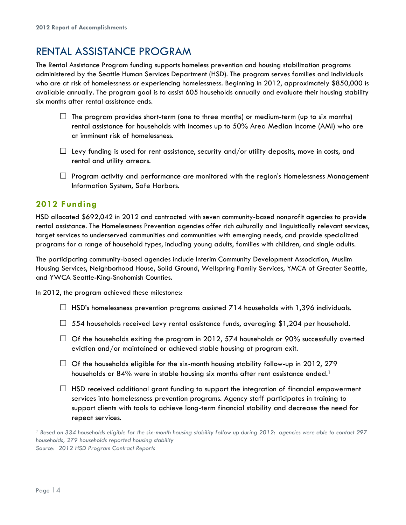## RENTAL ASSISTANCE PROGRAM

The Rental Assistance Program funding supports homeless prevention and housing stabilization programs administered by the Seattle Human Services Department (HSD). The program serves families and individuals who are at risk of homelessness or experiencing homelessness. Beginning in 2012, approximately \$850,000 is available annually. The program goal is to assist 605 households annually and evaluate their housing stability six months after rental assistance ends.

- $\Box$  The program provides short-term (one to three months) or medium-term (up to six months) rental assistance for households with incomes up to 50% Area Median Income (AMI) who are at imminent risk of homelessness.
- $\Box$  Levy funding is used for rent assistance, security and/or utility deposits, move in costs, and rental and utility arrears.
- $\Box$  Program activity and performance are monitored with the region's Homelessness Management Information System, Safe Harbors.

#### **2012 Funding**

HSD allocated \$692,042 in 2012 and contracted with seven community-based nonprofit agencies to provide rental assistance. The Homelessness Prevention agencies offer rich culturally and linguistically relevant services, target services to underserved communities and communities with emerging needs, and provide specialized programs for a range of household types, including young adults, families with children, and single adults.

The participating community-based agencies include Interim Community Development Association, Muslim Housing Services, Neighborhood House, Solid Ground, Wellspring Family Services, YMCA of Greater Seattle, and YWCA Seattle-King-Snohomish Counties.

In 2012, the program achieved these milestones:

- $\Box$  HSD's homelessness prevention programs assisted 714 households with 1,396 individuals.
- $\Box$  554 households received Levy rental assistance funds, averaging \$1,204 per household.
- $\Box$  Of the households exiting the program in 2012, 574 households or 90% successfully averted eviction and/or maintained or achieved stable housing at program exit.
- $\Box$  Of the households eligible for the six-month housing stability follow-up in 2012, 279 households or  $84\%$  were in stable housing six months after rent assistance ended.1
- $\Box$  HSD received additional grant funding to support the integration of financial empowerment services into homelessness prevention programs. Agency staff participates in training to support clients with tools to achieve long-term financial stability and decrease the need for repeat services.

*<sup>1</sup> Based on 334 households eligible for the six-month housing stability follow up during 2012*: *agencies were able to contact 297 households, 279 households reported housing stability Source: 2012 HSD Program Contract Reports*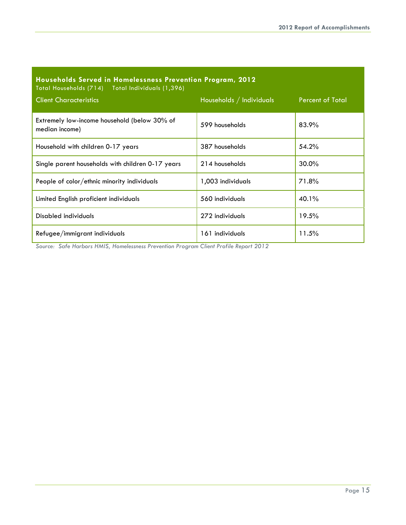| Households Served in Homelessness Prevention Program, 2012<br>Total Households (714) Total Individuals (1,396) |                          |                         |
|----------------------------------------------------------------------------------------------------------------|--------------------------|-------------------------|
| <b>Client Characteristics</b>                                                                                  | Households / Individuals | <b>Percent of Total</b> |
| Extremely low-income household (below 30% of<br>median income)                                                 | 599 households           | 83.9%                   |
| Household with children 0-17 years                                                                             | 387 households           | 54.2%                   |
| Single parent households with children 0-17 years                                                              | 214 households           | $30.0\%$                |
| People of color/ethnic minority individuals                                                                    | 1,003 individuals        | 71.8%                   |
| Limited English proficient individuals                                                                         | 560 individuals          | 40.1%                   |
| Disabled individuals                                                                                           | 272 individuals          | 19.5%                   |
| Refugee/immigrant individuals                                                                                  | 161 individuals          | 11.5%                   |

*Source: Safe Harbors HMIS, Homelessness Prevention Program Client Profile Report 2012*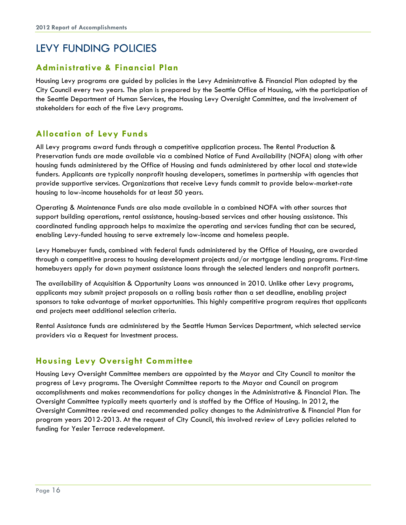## LEVY FUNDING POLICIES

#### **Administrative & Financial Plan**

Housing Levy programs are guided by policies in the Levy Administrative & Financial Plan adopted by the City Council every two years. The plan is prepared by the Seattle Office of Housing, with the participation of the Seattle Department of Human Services, the Housing Levy Oversight Committee, and the involvement of stakeholders for each of the five Levy programs.

#### **Allocation of Levy Funds**

All Levy programs award funds through a competitive application process. The Rental Production & Preservation funds are made available via a combined Notice of Fund Availability (NOFA) along with other housing funds administered by the Office of Housing and funds administered by other local and statewide funders. Applicants are typically nonprofit housing developers, sometimes in partnership with agencies that provide supportive services. Organizations that receive Levy funds commit to provide below-market-rate housing to low-income households for at least 50 years.

Operating & Maintenance Funds are also made available in a combined NOFA with other sources that support building operations, rental assistance, housing-based services and other housing assistance. This coordinated funding approach helps to maximize the operating and services funding that can be secured, enabling Levy-funded housing to serve extremely low-income and homeless people.

Levy Homebuyer funds, combined with federal funds administered by the Office of Housing, are awarded through a competitive process to housing development projects and/or mortgage lending programs. First-time homebuyers apply for down payment assistance loans through the selected lenders and nonprofit partners.

The availability of Acquisition & Opportunity Loans was announced in 2010. Unlike other Levy programs, applicants may submit project proposals on a rolling basis rather than a set deadline, enabling project sponsors to take advantage of market opportunities. This highly competitive program requires that applicants and projects meet additional selection criteria.

Rental Assistance funds are administered by the Seattle Human Services Department, which selected service providers via a Request for Investment process.

#### **Housing Levy Oversight Committee**

Housing Levy Oversight Committee members are appointed by the Mayor and City Council to monitor the progress of Levy programs. The Oversight Committee reports to the Mayor and Council on program accomplishments and makes recommendations for policy changes in the Administrative & Financial Plan. The Oversight Committee typically meets quarterly and is staffed by the Office of Housing. In 2012, the Oversight Committee reviewed and recommended policy changes to the Administrative & Financial Plan for program years 2012-2013. At the request of City Council, this involved review of Levy policies related to funding for Yesler Terrace redevelopment.